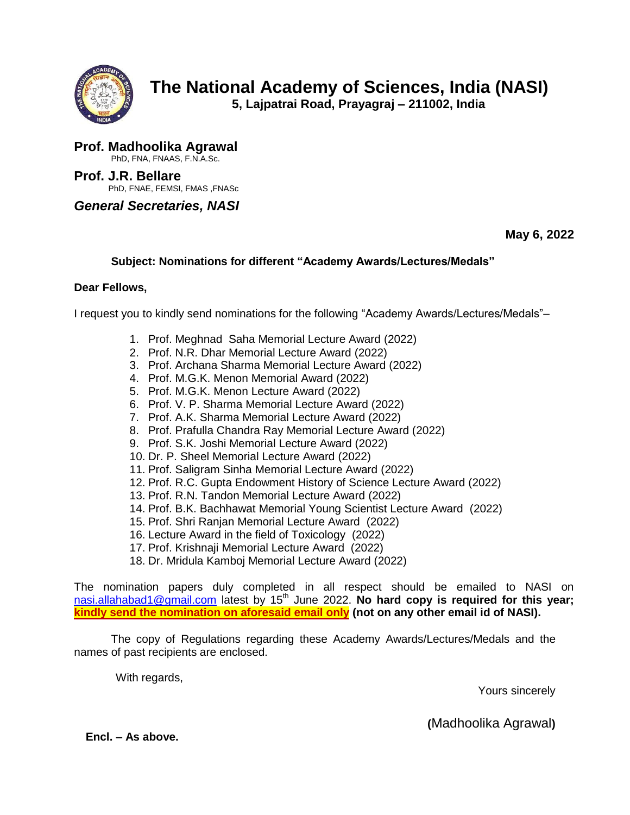

**5, Lajpatrai Road, Prayagraj – 211002, India**

**Prof. Madhoolika Agrawal** PhD, FNA, FNAAS, F.N.A.Sc.

**Prof. J.R. Bellare** PhD, FNAE, FEMSI, FMAS ,FNASc

*General Secretaries, NASI* 

**May 6, 2022**

## **Subject: Nominations for different "Academy Awards/Lectures/Medals"**

## **Dear Fellows,**

I request you to kindly send nominations for the following "Academy Awards/Lectures/Medals"–

- 1. Prof. Meghnad Saha Memorial Lecture Award (2022)
- 2. Prof. N.R. Dhar Memorial Lecture Award (2022)
- 3. Prof. Archana Sharma Memorial Lecture Award (2022)
- 4. Prof. M.G.K. Menon Memorial Award (2022)
- 5. Prof. M.G.K. Menon Lecture Award (2022)
- 6. Prof. V. P. Sharma Memorial Lecture Award (2022)
- 7. Prof. A.K. Sharma Memorial Lecture Award (2022)
- 8. Prof. Prafulla Chandra Ray Memorial Lecture Award (2022)
- 9. Prof. S.K. Joshi Memorial Lecture Award (2022)
- 10. Dr. P. Sheel Memorial Lecture Award (2022)
- 11. Prof. Saligram Sinha Memorial Lecture Award (2022)
- 12. Prof. R.C. Gupta Endowment History of Science Lecture Award (2022)
- 13. Prof. R.N. Tandon Memorial Lecture Award (2022)
- 14. Prof. B.K. Bachhawat Memorial Young Scientist Lecture Award (2022)
- 15. Prof. Shri Ranjan Memorial Lecture Award (2022)
- 16. Lecture Award in the field of Toxicology (2022)
- 17. Prof. Krishnaji Memorial Lecture Award (2022)
- 18. Dr. Mridula Kamboj Memorial Lecture Award (2022)

The nomination papers duly completed in all respect should be emailed to NASI on [nasi.allahabad1@gmail.com](mailto:nasi.allahabad1@gmail.com) latest by 15<sup>th</sup> June 2022. No hard copy is required for this year; **kindly send the nomination on aforesaid email only (not on any other email id of NASI).**

The copy of Regulations regarding these Academy Awards/Lectures/Medals and the names of past recipients are enclosed.

With regards,

Yours sincerely

**(**Madhoolika Agrawal**)**

**Encl. – As above.**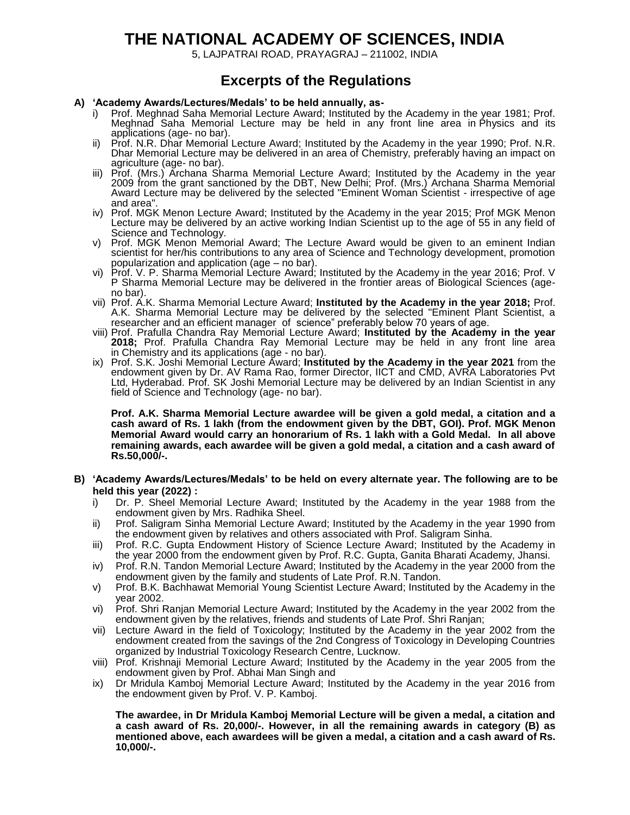# **THE NATIONAL ACADEMY OF SCIENCES, INDIA**

5, LAJPATRAI ROAD, PRAYAGRAJ – 211002, INDIA

# **Excerpts of the Regulations**

#### **A) "Academy Awards/Lectures/Medals" to be held annually, as-**

- Prof. Meghnad Saha Memorial Lecture Award; Instituted by the Academy in the year 1981; Prof. Meghnad Saha Memorial Lecture may be held in any front line area in Physics and its applications (age- no bar).
- ii) Prof. N.R. Dhar Memorial Lecture Award; Instituted by the Academy in the year 1990; Prof. N.R. Dhar Memorial Lecture may be delivered in an area of Chemistry, preferably having an impact on agriculture (age- no bar).
- iii) Prof. (Mrs.) Archana Sharma Memorial Lecture Award; Instituted by the Academy in the year 2009 from the grant sanctioned by the DBT, New Delhi; Prof. (Mrs.) Archana Sharma Memorial Award Lecture may be delivered by the selected "Eminent Woman Scientist - irrespective of age and area".
- iv) Prof. MGK Menon Lecture Award; Instituted by the Academy in the year 2015; Prof MGK Menon Lecture may be delivered by an active working Indian Scientist up to the age of 55 in any field of Science and Technology.
- v) Prof. MGK Menon Memorial Award; The Lecture Award would be given to an eminent Indian scientist for her/his contributions to any area of Science and Technology development, promotion popularization and application (age – no bar).
- vi) Prof. V. P. Sharma Memorial Lecture Award; Instituted by the Academy in the year 2016; Prof. V P Sharma Memorial Lecture may be delivered in the frontier areas of Biological Sciences (ageno bar).
- vii) Prof. A.K. Sharma Memorial Lecture Award; **Instituted by the Academy in the year 2018;** Prof. A.K. Sharma Memorial Lecture may be delivered by the selected "Eminent Plant Scientist, a researcher and an efficient manager of science" preferably below 70 years of age.
- viii) Prof. Prafulla Chandra Ray Memorial Lecture Award; **Instituted by the Academy in the year 2018;** Prof. Prafulla Chandra Ray Memorial Lecture may be held in any front line area in Chemistry and its applications (age - no bar).
- ix) Prof. S.K. Joshi Memorial Lecture Award; **Instituted by the Academy in the year 2021** from the endowment given by Dr. AV Rama Rao, former Director, IICT and CMD, AVRA Laboratories Pvt Ltd, Hyderabad. Prof. SK Joshi Memorial Lecture may be delivered by an Indian Scientist in any field of Science and Technology (age- no bar).

**Prof. A.K. Sharma Memorial Lecture awardee will be given a gold medal, a citation and a cash award of Rs. 1 lakh (from the endowment given by the DBT, GOI). Prof. MGK Menon Memorial Award would carry an honorarium of Rs. 1 lakh with a Gold Medal. In all above remaining awards, each awardee will be given a gold medal, a citation and a cash award of Rs.50,000/-.**

- **B) "Academy Awards/Lectures/Medals" to be held on every alternate year. The following are to be held this year (2022) :**
	- i) Dr. P. Sheel Memorial Lecture Award; Instituted by the Academy in the year 1988 from the endowment given by Mrs. Radhika Sheel.
	- ii) Prof. Saligram Sinha Memorial Lecture Award; Instituted by the Academy in the year 1990 from the endowment given by relatives and others associated with Prof. Saligram Sinha.
	- iii) Prof. R.C. Gupta Endowment History of Science Lecture Award; Instituted by the Academy in the year 2000 from the endowment given by Prof. R.C. Gupta, Ganita Bharati Academy, Jhansi.
	- iv) Prof. R.N. Tandon Memorial Lecture Award; Instituted by the Academy in the year 2000 from the endowment given by the family and students of Late Prof. R.N. Tandon.
	- v) Prof. B.K. Bachhawat Memorial Young Scientist Lecture Award; Instituted by the Academy in the year 2002.
	- vi) Prof. Shri Ranjan Memorial Lecture Award; Instituted by the Academy in the year 2002 from the endowment given by the relatives, friends and students of Late Prof. Shri Ranjan;
	- vii) Lecture Award in the field of Toxicology; Instituted by the Academy in the year 2002 from the endowment created from the savings of the 2nd Congress of Toxicology in Developing Countries organized by Industrial Toxicology Research Centre, Lucknow.
	- viii) Prof. Krishnaji Memorial Lecture Award; Instituted by the Academy in the year 2005 from the endowment given by Prof. Abhai Man Singh and
	- ix) Dr Mridula Kamboj Memorial Lecture Award; Instituted by the Academy in the year 2016 from the endowment given by Prof. V. P. Kamboj.

**The awardee, in Dr Mridula Kamboj Memorial Lecture will be given a medal, a citation and a cash award of Rs. 20,000/-. However, in all the remaining awards in category (B) as mentioned above, each awardees will be given a medal, a citation and a cash award of Rs. 10,000/-.**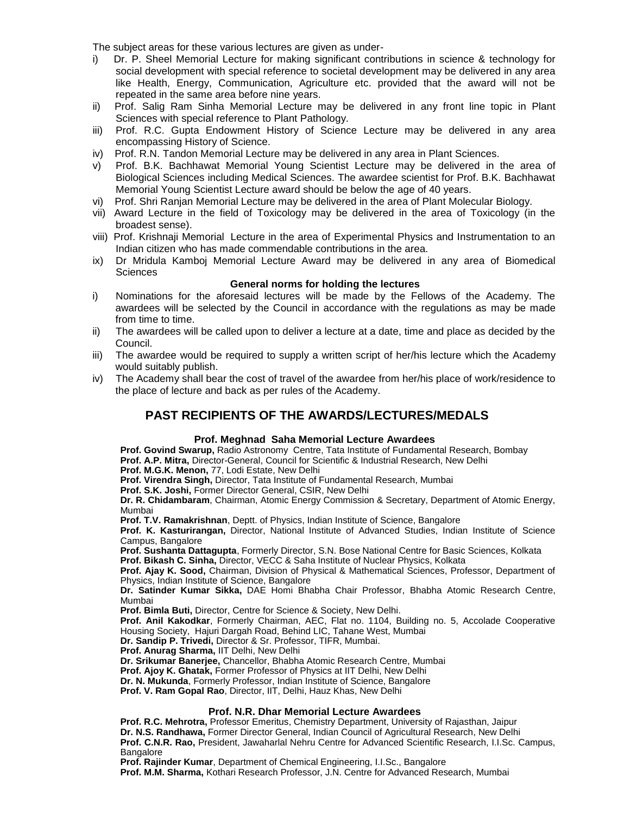The subject areas for these various lectures are given as under-

- i) Dr. P. Sheel Memorial Lecture for making significant contributions in science & technology for social development with special reference to societal development may be delivered in any area like Health, Energy, Communication, Agriculture etc. provided that the award will not be repeated in the same area before nine years.
- ii) Prof. Salig Ram Sinha Memorial Lecture may be delivered in any front line topic in Plant Sciences with special reference to Plant Pathology.
- iii) Prof. R.C. Gupta Endowment History of Science Lecture may be delivered in any area encompassing History of Science.
- iv) Prof. R.N. Tandon Memorial Lecture may be delivered in any area in Plant Sciences.
- v) Prof. B.K. Bachhawat Memorial Young Scientist Lecture may be delivered in the area of Biological Sciences including Medical Sciences. The awardee scientist for Prof. B.K. Bachhawat Memorial Young Scientist Lecture award should be below the age of 40 years.
- vi) Prof. Shri Ranjan Memorial Lecture may be delivered in the area of Plant Molecular Biology.
- vii) Award Lecture in the field of Toxicology may be delivered in the area of Toxicology (in the broadest sense).
- viii) Prof. Krishnaji Memorial Lecture in the area of Experimental Physics and Instrumentation to an Indian citizen who has made commendable contributions in the area.
- ix) Dr Mridula Kamboj Memorial Lecture Award may be delivered in any area of Biomedical **Sciences**

#### **General norms for holding the lectures**

- i) Nominations for the aforesaid lectures will be made by the Fellows of the Academy. The awardees will be selected by the Council in accordance with the regulations as may be made from time to time.
- ii) The awardees will be called upon to deliver a lecture at a date, time and place as decided by the Council.
- iii) The awardee would be required to supply a written script of her/his lecture which the Academy would suitably publish.
- iv) The Academy shall bear the cost of travel of the awardee from her/his place of work/residence to the place of lecture and back as per rules of the Academy.

### **PAST RECIPIENTS OF THE AWARDS/LECTURES/MEDALS**

#### **Prof. Meghnad Saha Memorial Lecture Awardees**

**Prof. Govind Swarup,** Radio Astronomy Centre, Tata Institute of Fundamental Research, Bombay **Prof. A.P. Mitra,** Director-General, Council for Scientific & Industrial Research, New Delhi

**Prof. M.G.K. Menon,** 77, Lodi Estate, New Delhi

**Prof. Virendra Singh,** Director, Tata Institute of Fundamental Research, Mumbai

**Prof. S.K. Joshi,** Former Director General, CSIR, New Delhi

**Dr. R. Chidambaram**, Chairman, Atomic Energy Commission & Secretary, Department of Atomic Energy, Mumbai

**Prof. T.V. Ramakrishnan**, Deptt. of Physics, Indian Institute of Science, Bangalore

**Prof. K. Kasturirangan,** Director, National Institute of Advanced Studies, Indian Institute of Science Campus, Bangalore

**Prof. Sushanta Dattagupta**, Formerly Director, S.N. Bose National Centre for Basic Sciences, Kolkata **Prof. Bikash C. Sinha,** Director, VECC & Saha Institute of Nuclear Physics, Kolkata

**Prof. Ajay K. Sood,** Chairman, Division of Physical & Mathematical Sciences, Professor, Department of

Physics, Indian Institute of Science, Bangalore

**Dr. Satinder Kumar Sikka,** DAE Homi Bhabha Chair Professor, Bhabha Atomic Research Centre, Mumbai

**Prof. Bimla Buti,** Director, Centre for Science & Society, New Delhi.

**Prof. Anil Kakodkar**, Formerly Chairman, AEC, Flat no. 1104, Building no. 5, Accolade Cooperative Housing Society, Hajuri Dargah Road, Behind LIC, Tahane West, Mumbai

**Dr. Sandip P. Trivedi,** Director & Sr. Professor, TIFR, Mumbai.

**Prof. Anurag Sharma,** IIT Delhi, New Delhi

**Dr. Srikumar Banerjee,** Chancellor, Bhabha Atomic Research Centre, Mumbai

**Prof. Ajoy K. Ghatak,** Former Professor of Physics at IIT Delhi, New Delhi

**Dr. N. Mukunda**, Formerly Professor, Indian Institute of Science, Bangalore

**Prof. V. Ram Gopal Rao**, Director, IIT, Delhi, Hauz Khas, New Delhi

#### **Prof. N.R. Dhar Memorial Lecture Awardees**

**Prof. R.C. Mehrotra,** Professor Emeritus, Chemistry Department, University of Rajasthan, Jaipur **Dr. N.S. Randhawa,** Former Director General, Indian Council of Agricultural Research, New Delhi **Prof. C.N.R. Rao,** President, Jawaharlal Nehru Centre for Advanced Scientific Research, I.I.Sc. Campus, **Bangalore** 

**Prof. Rajinder Kumar**, Department of Chemical Engineering, I.I.Sc., Bangalore

**Prof. M.M. Sharma,** Kothari Research Professor, J.N. Centre for Advanced Research, Mumbai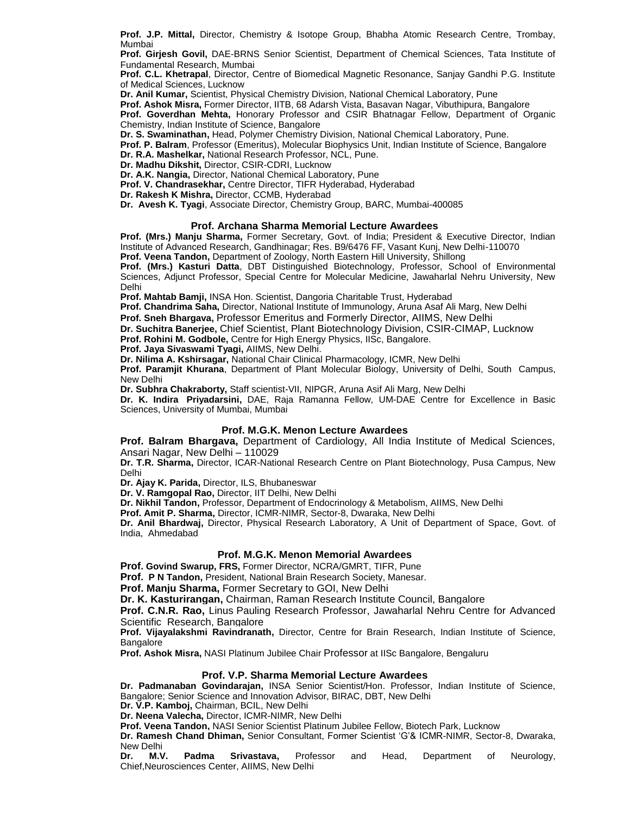**Prof. J.P. Mittal,** Director, Chemistry & Isotope Group, Bhabha Atomic Research Centre, Trombay, Mumbai

**Prof. Girjesh Govil,** DAE-BRNS Senior Scientist, Department of Chemical Sciences, Tata Institute of Fundamental Research, Mumbai

**Prof. C.L. Khetrapal**, Director, Centre of Biomedical Magnetic Resonance, Sanjay Gandhi P.G. Institute of Medical Sciences, Lucknow

**Dr. Anil Kumar,** Scientist, Physical Chemistry Division, National Chemical Laboratory, Pune

**Prof. Ashok Misra,** Former Director, IITB, 68 Adarsh Vista, Basavan Nagar, Vibuthipura, Bangalore

**Prof. Goverdhan Mehta,** Honorary Professor and CSIR Bhatnagar Fellow, Department of Organic Chemistry, Indian Institute of Science, Bangalore

**Dr. S. Swaminathan,** Head, Polymer Chemistry Division, National Chemical Laboratory, Pune.

**Prof. P. Balram**, Professor (Emeritus), Molecular Biophysics Unit, Indian Institute of Science, Bangalore **Dr. R.A. Mashelkar,** National Research Professor, NCL, Pune.

**Dr. Madhu Dikshit,** Director, CSIR-CDRI, Lucknow

**Dr. A.K. Nangia,** Director, National Chemical Laboratory, Pune

**Prof. V. Chandrasekhar,** Centre Director, TIFR Hyderabad, Hyderabad

**Dr. Rakesh K Mishra,** Director, CCMB, Hyderabad

**Dr. Avesh K. Tyagi**, Associate Director, Chemistry Group, BARC, Mumbai-400085

#### **Prof. Archana Sharma Memorial Lecture Awardees**

**Prof. (Mrs.) Manju Sharma,** Former Secretary, Govt. of India; President & Executive Director, Indian Institute of Advanced Research, Gandhinagar; Res. B9/6476 FF, Vasant Kunj, New Delhi-110070

**Prof. Veena Tandon,** Department of Zoology, North Eastern Hill University, Shillong

**Prof. (Mrs.) Kasturi Datta**, DBT Distinguished Biotechnology, Professor, School of Environmental Sciences, Adjunct Professor, Special Centre for Molecular Medicine, Jawaharlal Nehru University, New Delhi

**Prof. Mahtab Bamji,** INSA Hon. Scientist, Dangoria Charitable Trust, Hyderabad

**Prof. Chandrima Saha,** Director, National Institute of Immunology, Aruna Asaf Ali Marg, New Delhi

**Prof. Sneh Bhargava,** Professor Emeritus and Formerly Director, AIIMS, New Delhi

**Dr. Suchitra Banerjee,** Chief Scientist, Plant Biotechnology Division, CSIR-CIMAP, Lucknow

**Prof. Rohini M. Godbole,** Centre for High Energy Physics, IISc, Bangalore. **Prof. Jaya Sivaswami Tyagi,** AIIMS, New Delhi.

**Dr. Nilima A. Kshirsagar,** National Chair Clinical Pharmacology, ICMR, New Delhi

**Prof. Paramjit Khurana**, Department of Plant Molecular Biology, University of Delhi, South Campus, New Delhi

**Dr. Subhra Chakraborty,** Staff scientist-VII, NIPGR, Aruna Asif Ali Marg, New Delhi

**Dr. K. Indira Priyadarsini,** DAE, Raja Ramanna Fellow, UM-DAE Centre for Excellence in Basic Sciences, University of Mumbai, Mumbai

#### **Prof. M.G.K. Menon Lecture Awardees**

**Prof. Balram Bhargava,** Department of Cardiology, All India Institute of Medical Sciences, Ansari Nagar, New Delhi – 110029

**Dr. T.R. Sharma,** Director, ICAR-National Research Centre on Plant Biotechnology, Pusa Campus, New Delhi

**Dr. Ajay K. Parida,** Director, ILS, Bhubaneswar

**Dr. V. Ramgopal Rao,** Director, IIT Delhi, New Delhi

**Dr. Nikhil Tandon,** Professor, Department of Endocrinology & Metabolism, AIIMS, New Delhi

**Prof. Amit P. Sharma,** Director, ICMR-NIMR, Sector-8, Dwaraka, New Delhi

**Dr. Anil Bhardwaj,** Director, Physical Research Laboratory, A Unit of Department of Space, Govt. of India, Ahmedabad

#### **Prof. M.G.K. Menon Memorial Awardees**

**Prof. Govind Swarup, FRS,** Former Director, NCRA/GMRT, TIFR, Pune

**Prof. P N Tandon,** President, National Brain Research Society, Manesar.

**Prof. Manju Sharma,** Former Secretary to GOI, New Delhi

**Dr. K. Kasturirangan,** Chairman, Raman Research Institute Council, Bangalore

**Prof. C.N.R. Rao,** Linus Pauling Research Professor, Jawaharlal Nehru Centre for Advanced Scientific Research, Bangalore

**Prof. Vijayalakshmi Ravindranath,** Director, Centre for Brain Research, Indian Institute of Science, Bangalore

**Prof. Ashok Misra,** NASI Platinum Jubilee Chair Professor at IISc Bangalore, Bengaluru

#### **Prof. V.P. Sharma Memorial Lecture Awardees**

**Dr. Padmanaban Govindarajan,** INSA Senior Scientist/Hon. Professor, Indian Institute of Science, Bangalore; Senior Science and Innovation Advisor, BIRAC, DBT, New Delhi

**Dr. V.P. Kamboj,** Chairman, BCIL, New Delhi

**Dr. Neena Valecha,** Director, ICMR-NIMR, New Delhi

**Prof. Veena Tandon,** NASI Senior Scientist Platinum Jubilee Fellow, Biotech Park, Lucknow

**Dr. Ramesh Chand Dhiman,** Senior Consultant, Former Scientist 'G'& ICMR-NIMR, Sector-8, Dwaraka, New Delhi

**Dr. M.V. Padma Srivastava,** Professor and Head, Department of Neurology, Chief,Neurosciences Center, AIIMS, New Delhi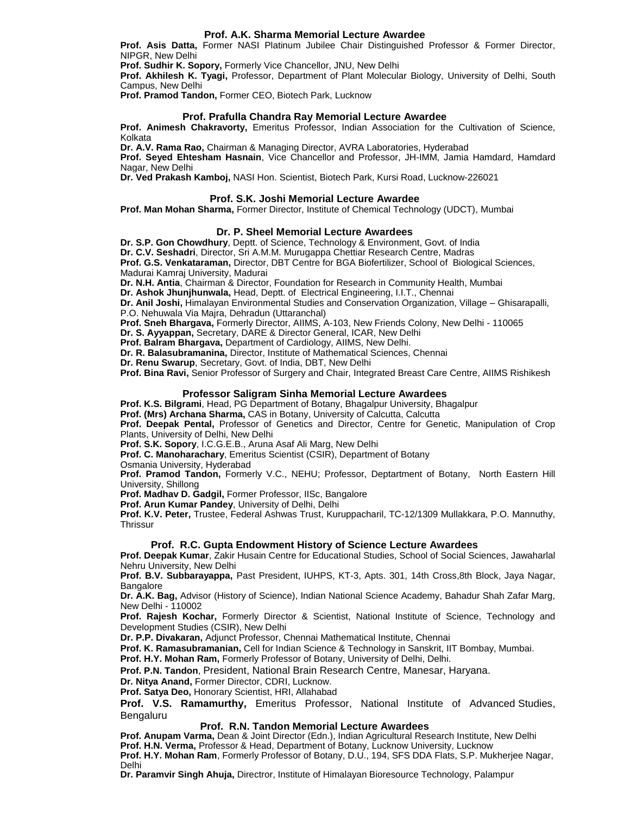#### **Prof. A.K. Sharma Memorial Lecture Awardee**

**Prof. Asis Datta,** Former NASI Platinum Jubilee Chair Distinguished Professor & Former Director, NIPGR, New Delhi

**Prof. Sudhir K. Sopory,** Formerly Vice Chancellor, JNU, New Delhi

**Prof. Akhilesh K. Tyagi,** Professor, Department of Plant Molecular Biology, University of Delhi, South Campus, New Delhi

**Prof. Pramod Tandon,** Former CEO, Biotech Park, Lucknow

#### **Prof. Prafulla Chandra Ray Memorial Lecture Awardee**

**Prof. Animesh Chakravorty,** Emeritus Professor, Indian Association for the Cultivation of Science, Kolkata

**Dr. A.V. Rama Rao,** Chairman & Managing Director, AVRA Laboratories, Hyderabad

**Prof. Seyed Ehtesham Hasnain**, Vice Chancellor and Professor, JH-IMM, Jamia Hamdard, Hamdard Nagar, New Delhi

**Dr. Ved Prakash Kamboj,** NASI Hon. Scientist, Biotech Park, Kursi Road, Lucknow-226021

#### **Prof. S.K. Joshi Memorial Lecture Awardee**

**Prof. Man Mohan Sharma,** Former Director, Institute of Chemical Technology (UDCT), Mumbai

#### **Dr. P. Sheel Memorial Lecture Awardees**

**Dr. S.P. Gon Chowdhury**, Deptt. of Science, Technology & Environment, Govt. of India **Dr. C.V. Seshadri**, Director, Sri A.M.M. Murugappa Chettiar Research Centre, Madras **Prof. G.S. Venkataraman,** Director, DBT Centre for BGA Biofertilizer, School of Biological Sciences, Madurai Kamraj University, Madurai

**Dr. N.H. Antia**, Chairman & Director, Foundation for Research in Community Health, Mumbai

**Dr. Ashok Jhunjhunwala,** Head, Deptt. of Electrical Engineering, I.I.T., Chennai

**Dr. Anil Joshi,** Himalayan Environmental Studies and Conservation Organization, Village – Ghisarapalli, P.O. Nehuwala Via Majra, Dehradun (Uttaranchal)

**Prof. Sneh Bhargava,** Formerly Director, AIIMS, A-103, New Friends Colony, New Delhi - 110065

**Dr. S. Ayyappan,** Secretary, DARE & Director General, ICAR, New Delhi

**Prof. Balram Bhargava,** Department of Cardiology, AIIMS, New Delhi.

**Dr. R. Balasubramanina,** Director, Institute of Mathematical Sciences, Chennai

**Dr. Renu Swarup**, Secretary, Govt. of India, DBT, New Delhi

**Prof. Bina Ravi,** Senior Professor of Surgery and Chair, Integrated Breast Care Centre, AIIMS Rishikesh

#### **Professor Saligram Sinha Memorial Lecture Awardees**

**Prof. K.S. Bilgrami**, Head, PG Department of Botany, Bhagalpur University, Bhagalpur

**Prof. (Mrs) Archana Sharma,** CAS in Botany, University of Calcutta, Calcutta

**Prof. Deepak Pental,** Professor of Genetics and Director, Centre for Genetic, Manipulation of Crop Plants, University of Delhi, New Delhi

**Prof. S.K. Sopory**, I.C.G.E.B., Aruna Asaf Ali Marg, New Delhi

**Prof. C. Manoharachary**, Emeritus Scientist (CSIR), Department of Botany

Osmania University, Hyderabad

**Prof. Pramod Tandon,** Formerly V.C., NEHU; Professor, Deptartment of Botany, North Eastern Hill University, Shillong

**Prof. Madhav D. Gadgil,** Former Professor, IISc, Bangalore

**Prof. Arun Kumar Pandey**, University of Delhi, Delhi

**Prof. K.V. Peter,** Trustee, Federal Ashwas Trust, Kuruppacharil, TC-12/1309 Mullakkara, P.O. Mannuthy, **Thrissur** 

#### **Prof. R.C. Gupta Endowment History of Science Lecture Awardees**

**Prof. Deepak Kumar**, Zakir Husain Centre for Educational Studies, School of Social Sciences, Jawaharlal Nehru University, New Delhi

**Prof. B.V. Subbarayappa,** Past President, IUHPS, KT-3, Apts. 301, 14th Cross,8th Block, Jaya Nagar, **Bangalore** 

**Dr. A.K. Bag,** Advisor (History of Science), Indian National Science Academy, Bahadur Shah Zafar Marg, New Delhi - 110002

**Prof. Rajesh Kochar,** Formerly Director & Scientist, National Institute of Science, Technology and Development Studies (CSIR), New Delhi

**Dr. P.P. Divakaran,** Adjunct Professor, Chennai Mathematical Institute, Chennai

**Prof. K. Ramasubramanian,** Cell for Indian Science & Technology in Sanskrit, IIT Bombay, Mumbai.

**Prof. H.Y. Mohan Ram,** Formerly Professor of Botany, University of Delhi, Delhi.

**Prof. P.N. Tandon**, President, National Brain Research Centre, Manesar, Haryana.

**Dr. Nitya Anand,** Former Director, CDRI, Lucknow.

**Prof. Satya Deo,** Honorary Scientist, HRI, Allahabad

**Prof. V.S. Ramamurthy,** Emeritus Professor, National Institute of Advanced Studies, Bengaluru

#### **Prof. R.N. Tandon Memorial Lecture Awardees**

**Prof. Anupam Varma,** Dean & Joint Director (Edn.), Indian Agricultural Research Institute, New Delhi **Prof. H.N. Verma,** Professor & Head, Department of Botany, Lucknow University, Lucknow **Prof. H.Y. Mohan Ram**, Formerly Professor of Botany, D.U., 194, SFS DDA Flats, S.P. Mukherjee Nagar, Delhi

**Dr. Paramvir Singh Ahuja,** Directror, Institute of Himalayan Bioresource Technology, Palampur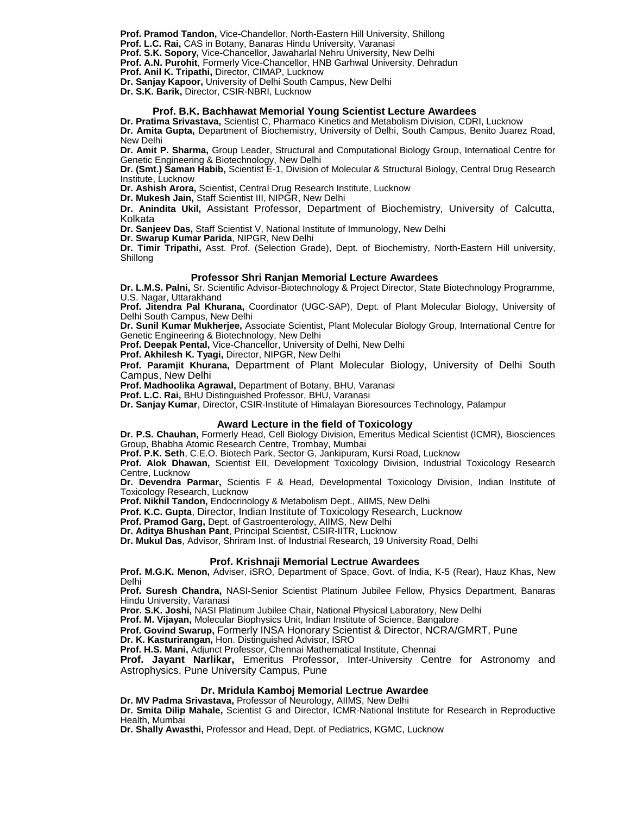**Prof. Pramod Tandon,** Vice-Chandellor, North-Eastern Hill University, Shillong

**Prof. L.C. Rai,** CAS in Botany, Banaras Hindu University, Varanasi

**Prof. S.K. Sopory,** Vice-Chancellor, Jawaharlal Nehru University, New Delhi

**Prof. A.N. Purohit**, Formerly Vice-Chancellor, HNB Garhwal University, Dehradun

**Prof. Anil K. Tripathi,** Director, CIMAP, Lucknow

**Dr. Sanjay Kapoor,** University of Delhi South Campus, New Delhi

**Dr. S.K. Barik,** Director, CSIR-NBRI, Lucknow

#### **Prof. B.K. Bachhawat Memorial Young Scientist Lecture Awardees**

**Dr. Pratima Srivastava,** Scientist C, Pharmaco Kinetics and Metabolism Division, CDRI, Lucknow **Dr. Amita Gupta,** Department of Biochemistry, University of Delhi, South Campus, Benito Juarez Road, New Delhi

**Dr. Amit P. Sharma,** Group Leader, Structural and Computational Biology Group, Internatioal Centre for Genetic Engineering & Biotechnology, New Delhi

**Dr. (Smt.) Saman Habib,** Scientist E-1, Division of Molecular & Structural Biology, Central Drug Research Institute, Lucknow

**Dr. Ashish Arora,** Scientist, Central Drug Research Institute, Lucknow

**Dr. Mukesh Jain,** Staff Scientist III, NIPGR, New Delhi

**Dr. Anindita Ukil,** Assistant Professor, Department of Biochemistry, University of Calcutta, Kolkata

**Dr. Sanjeev Das,** Staff Scientist V, National Institute of Immunology, New Delhi

**Dr. Swarup Kumar Parida**, NIPGR, New Delhi

**Dr. Timir Tripathi,** Asst. Prof. (Selection Grade), Dept. of Biochemistry, North-Eastern Hill university, Shillong

#### **Professor Shri Ranjan Memorial Lecture Awardees**

**Dr. L.M.S. Palni,** Sr. Scientific Advisor-Biotechnology & Project Director, State Biotechnology Programme, U.S. Nagar, Uttarakhand

**Prof. Jitendra Pal Khurana,** Coordinator (UGC-SAP), Dept. of Plant Molecular Biology, University of Delhi South Campus, New Delhi

**Dr. Sunil Kumar Mukherjee,** Associate Scientist, Plant Molecular Biology Group, International Centre for Genetic Engineering & Biotechnology, New Delhi

Prof. Deepak Pental, Vice-Chancellor, University of Delhi, New Delhi

**Prof. Akhilesh K. Tyagi,** Director, NIPGR, New Delhi

**Prof. Paramjit Khurana,** Department of Plant Molecular Biology, University of Delhi South Campus, New Delhi

**Prof. Madhoolika Agrawal,** Department of Botany, BHU, Varanasi

**Prof. L.C. Rai,** BHU Distinguished Professor, BHU, Varanasi

**Dr. Sanjay Kumar**, Director, CSIR-Institute of Himalayan Bioresources Technology, Palampur

#### **Award Lecture in the field of Toxicology**

**Dr. P.S. Chauhan,** Formerly Head, Cell Biology Division, Emeritus Medical Scientist (ICMR), Biosciences Group, Bhabha Atomic Research Centre, Trombay, Mumbai

**Prof. P.K. Seth**, C.E.O. Biotech Park, Sector G, Jankipuram, Kursi Road, Lucknow

**Prof. Alok Dhawan,** Scientist EII, Development Toxicology Division, Industrial Toxicology Research Centre, Lucknow

**Dr. Devendra Parmar,** Scientis F & Head, Developmental Toxicology Division, Indian Institute of Toxicology Research, Lucknow

**Prof. Nikhil Tandon,** Endocrinology & Metabolism Dept., AIIMS, New Delhi

**Prof. K.C. Gupta**, Director, Indian Institute of Toxicology Research, Lucknow

**Prof. Pramod Garg,** Dept. of Gastroenterology, AIIMS, New Delhi

**Dr. Aditya Bhushan Pant**, Principal Scientist, CSIR-IITR, Lucknow

**Dr. Mukul Das**, Advisor, Shriram Inst. of Industrial Research, 19 University Road, Delhi

#### **Prof. Krishnaji Memorial Lectrue Awardees**

**Prof. M.G.K. Menon,** Adviser, iSRO, Department of Space, Govt. of India, K-5 (Rear), Hauz Khas, New Delhi

**Prof. Suresh Chandra,** NASI-Senior Scientist Platinum Jubilee Fellow, Physics Department, Banaras Hindu University, Varanasi

**Pror. S.K. Joshi,** NASI Platinum Jubilee Chair, National Physical Laboratory, New Delhi

**Prof. M. Vijayan,** Molecular Biophysics Unit, Indian Institute of Science, Bangalore

**Prof. Govind Swarup,** Formerly INSA Honorary Scientist & Director, NCRA/GMRT, Pune

**Dr. K. Kasturirangan,** Hon. Distinguished Advisor, ISRO

**Prof. H.S. Mani,** Adjunct Professor, Chennai Mathematical Institute, Chennai

**Prof. Jayant Narlikar,** Emeritus Professor, Inter-University Centre for Astronomy and Astrophysics, Pune University Campus, Pune

#### **Dr. Mridula Kamboj Memorial Lectrue Awardee**

**Dr. MV Padma Srivastava,** Professor of Neurology, AIIMS, New Delhi **Dr. Smita Dilip Mahale,** Scientist G and Director, ICMR-National Institute for Research in Reproductive Health, Mumbai

**Dr. Shally Awasthi,** Professor and Head, Dept. of Pediatrics, KGMC, Lucknow